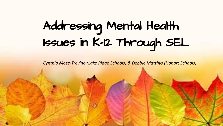# Addressing Mental Health Issues in K-12 Through SEL

*Cynthia Mose-Trevino (Lake Ridge Schools) & Debbie Matthys (Hobart Schools)*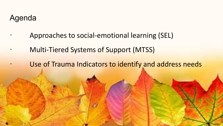### Agenda

- Approaches to social-emotional learning (SEL)
- **Multi-Tiered Systems of Support (MTSS)** 
	- Use of Trauma Indicators to identify and address needs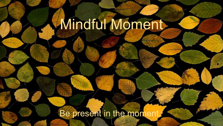# Mindful Moment

Be present in the mon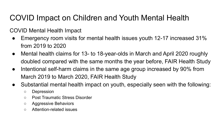# COVID Impact on Children and Youth Mental Health

COVID Mental Health Impact

- Emergency room visits for mental health issues youth 12-17 increased 31% from 2019 to 2020
- Mental health claims for 13- to 18-year-olds in March and April 2020 roughly doubled compared with the same months the year before, FAIR Health Study
- Intentional self-harm claims in the same age group increased by 90% from March 2019 to March 2020, FAIR Health Study
- Substantial mental health impact on youth, especially seen with the following:
	- Depression
	- Post Traumatic Stress Disorder
	- Aggressive Behaviors
	- Attention-related issues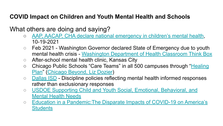#### **COVID Impact on Children and Youth Mental Health and Schools**

#### What others are doing and saying?

- o [AAP, AACAP, CHA declare national emergency in children's mental health,](https://publications.aap.org/aapnews/news/17718/AAP-AACAP-CHA-declare-national-emergency-in?searchresult=1?autologincheck=redirected) 10-19-2021
- Feb 2021 Washington Governor declared State of Emergency due to youth mental health crisis - [Washington Department of Health Classroom Think Box](https://drive.google.com/file/d/1rOo8S6vjBNcqG61VfSjpHOETSbwElDYU/view?usp=sharing)
- After-school mental health clinic, Kansas City
- Chicago Public Schools "Care Teams" in all 500 campuses through "[Healing](https://chicago.chalkbeat.org/2021/3/22/22344002/chicago-public-schools-to-invest-24-million-in-student-trauma-and-mental-health-programs) [Plan](https://chicago.chalkbeat.org/2021/3/22/22344002/chicago-public-schools-to-invest-24-million-in-student-trauma-and-mental-health-programs)" [\(Chicago Beyond, Liz Dozier](https://chicagobeyond.org/https://chicagobeyond.org/))
- [Dallas ISD](https://www.wfaa.com/article/news/education/dallas-isd-will-no-longer-use-suspensions-for-high-school-middle-school-students-introduces-reset-centers/287-4e81934e-3b99-4ca0-aada-b4f663e5a302) Discipline policies reflecting mental health informed responses rather than exclusionary responses
- [USDOE Supporting Child and Youth Social, Emotional, Behavioral, and](https://drive.google.com/file/d/1OT2e9V1Q-fY67dFgBYqAUUT4F0L6UQTq/view?usp=sharing) [Mental Health Needs](https://drive.google.com/file/d/1OT2e9V1Q-fY67dFgBYqAUUT4F0L6UQTq/view?usp=sharing)
- [Education in a Pandemic:The Disparate Impacts of COVID-19 on America's](https://drive.google.com/file/d/1yo2nf4TKWF8ibj-mA8kMlfC02zIUZ1m7/view?usp=sharing) **[Students](https://drive.google.com/file/d/1yo2nf4TKWF8ibj-mA8kMlfC02zIUZ1m7/view?usp=sharing)**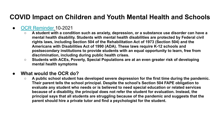#### **COVID Impact on Children and Youth Mental Health and Schools**

#### ● [OCR Reminder](https://drive.google.com/file/d/1eWno0vHzUcI1xjUd2tmsigrct-lQUiy_/view?usp=sharing) 10-2021

- **○ A student with a condition such as anxiety, depression, or a substance use disorder can have a mental health disability. Students with mental health disabilities are protected by Federal civil rights laws, including Section 504 of the Rehabilitation Act of 1973 (Section 504) and the Americans with Disabilities Act of 1990 (ADA). These laws require K-12 schools and postsecondary institutions to provide students with an equal opportunity to learn, free from discrimination, including during public health crises.**
- *○* **Students with ACEs, Poverty, Special Populations are at an even greater risk of developing mental health symptoms**

#### **● What would the OCR do?**

**○ A public school student has developed severe depression for the first time during the pandemic. Their parent tells the school principal. Despite the school's Section 504 FAPE obligation to evaluate any student who needs or is believed to need special education or related services because of a disability, the principal does not refer the student for evaluation. Instead, the principal says that all students are struggling because of the pandemic and suggests that the parent should hire a private tutor and find a psychologist for the student.**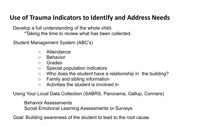#### **Use of Trauma Indicators to Identify and Address Needs**

Develop a full understanding of the whole child. \*Taking the time to review what has been collected.

Student Management System (ABC's)

- Attendance
- Behavior
- Grades
- Special population indicators
- Who does the student have a relationship in the building?
- Family and sibling information
- Activities the student is involved in

Using Your Local Data Collection (SABRS, Panorama, Gallup, Conners)

Behavior Assessments

Social Emotional Learning Assessments or Surveys

Goal: Building awareness of the student to lead to the root cause.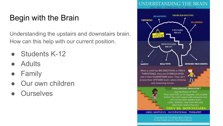# Begin with the Brain

Understanding the upstairs and downstairs brain. How can this help with our current position.

- Students K-12
- **Adults**
- **Family**
- Our own children
- **Ourselves**



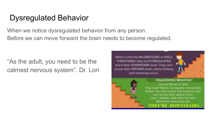### Dysregulated Behavior

When we notice dysregulated behavior from any person. Before we can move forward the brain needs to become regulated.

"As the adult, you need to be the calmest nervous system". Dr. Lori

When a child has BIG EMOTIONS or FEELS THREATENED, they are DYSREGULATED and in their DOWNSTAIRS brain. They can't access their UPSTAIRS brain, where thinking and reasoning occurs.



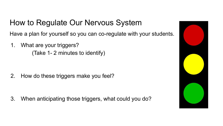# How to Regulate Our Nervous System

Have a plan for yourself so you can co-regulate with your students.

1. What are your triggers? (Take 1- 2 minutes to identify)

2. How do these triggers make you feel?

3. When anticipating those triggers, what could you do?

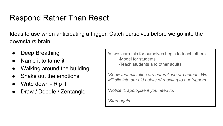## Respond Rather Than React

Ideas to use when anticipating a trigger. Catch ourselves before we go into the downstairs brain.

- Deep Breathing
- Name it to tame it
- Walking around the building
- Shake out the emotions
- Write down Rip it
- Draw / Doodle / Zentangle

As we learn this for ourselves begin to teach others. -Model for students -Teach students and other adults.

*\*Know that mistakes are natural, we are human. We will slip into our old habits of reacting to our triggers.*

*\*Notice it, apologize if you need to.* 

*\*Start again.*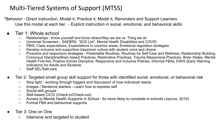### Multi-Tiered Systems of Support (MTSS)

\*Behavior - Direct instruction, Model it, Practice it, Model it, Reminders and Support Learners Use this model at each tier. - Explicit instruction in social, emotional, and behavioral skills

#### Tier 1: Whole school

- Relationships Know yourself and know others/Way we are vs. Thing we do
- Universal Screeners SAEBRS, "SOS List", Mental Health Disabilities and COVID
- PBIS, Class expectations, Expectations in common areas, Emotional regulation strategies
- Develop inclusive and supportive classroom culture with student voice and choice.
- Proactive and responsive strategies Predictable Routines, Routines for Self-Care and Wellness, Relationship Building, Conscious Discipline/Brain-based Practices, Restorative Practices, Trauma Responsive Practices, Brain States, Mental Health First Aid, Positive School Discipline, Responsive and Inclusive Policies, Informal FBAs, EWIS (Early Warning Indicators) for Adults and Students
- Staff SEL/Self-care
- Tier 2: Targeted small group skill support for those with identified social, emotional, or behavioral risk
	- Stop light working through triggers and discussion of how individual reacts.
	- Images / Sentence starters Learn how to express self
	- Social skill groups
	- Skill-based CICO (Check-in/Check-out)
	- Access to Mental Health Supports in School 6x more likely to complete in schools (Jaycox, 2010)
	- Formal FBA and behavioral supports
- Tier 3: One on One
	- Intensive and targeted to student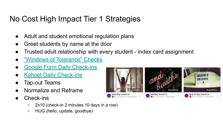## No Cost High Impact Tier 1 Strategies

- Adult and student emotional regulation plans
- Greet students by name at the door
- Trusted adult relationship with every student index card assignment
- ["Windows of Tolerance" Checks](https://drive.google.com/drive/folders/1MT_D0ksw1U7lThPdk22NSixrPJmeIjve?usp=sharing)
- **[Google Form Daily Check-ins](https://drive.google.com/drive/folders/1MT_D0ksw1U7lThPdk22NSixrPJmeIjve?usp=sharing)**
- **[Kahoot Daily Check-ins](https://create.kahoot.it/search?filter=1&query=check%20in&tags=check%20in)**
- Tap-out Teams
- Normalize and Reframe
- Check-ins
	- 2x10 (check-in 2 minutes 10 days in a row)
	- HUG (hello, update, goodbye)

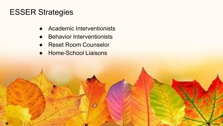## ESSER Strategies

- Academic Interventionists
- Behavior Interventionists
- Reset Room Counselor
- Home-School Liaisons